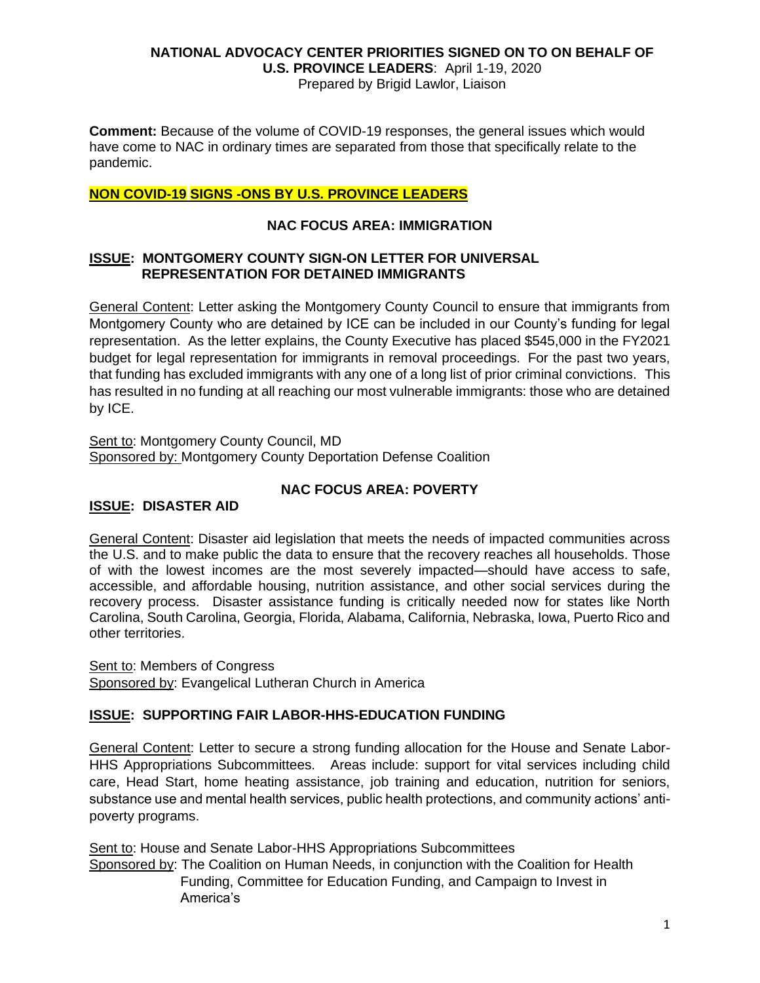Prepared by Brigid Lawlor, Liaison

**Comment:** Because of the volume of COVID-19 responses, the general issues which would have come to NAC in ordinary times are separated from those that specifically relate to the pandemic.

## **NON COVID-19 SIGNS -ONS BY U.S. PROVINCE LEADERS**

## **NAC FOCUS AREA: IMMIGRATION**

#### **ISSUE: MONTGOMERY COUNTY SIGN-ON LETTER FOR UNIVERSAL REPRESENTATION FOR DETAINED IMMIGRANTS**

General Content: Letter asking the Montgomery County Council to ensure that immigrants from Montgomery County who are detained by ICE can be included in our County's funding for legal representation. As the letter explains, the County Executive has placed \$545,000 in the FY2021 budget for legal representation for immigrants in removal proceedings. For the past two years, that funding has excluded immigrants with any one of a long list of prior criminal convictions. This has resulted in no funding at all reaching our most vulnerable immigrants: those who are detained by ICE.

Sent to: Montgomery County Council, MD Sponsored by: Montgomery County Deportation Defense Coalition

## **NAC FOCUS AREA: POVERTY**

# **ISSUE: DISASTER AID**

General Content: Disaster aid legislation that meets the needs of impacted communities across the U.S. and to make public the data to ensure that the recovery reaches all households. Those of with the lowest incomes are the most severely impacted—should have access to safe, accessible, and affordable housing, nutrition assistance, and other social services during the recovery process. Disaster assistance funding is critically needed now for states like North Carolina, South Carolina, Georgia, Florida, Alabama, California, Nebraska, Iowa, Puerto Rico and other territories.

Sent to: Members of Congress Sponsored by: Evangelical Lutheran Church in America

# **ISSUE: SUPPORTING FAIR LABOR-HHS-EDUCATION FUNDING**

General Content: Letter to secure a strong funding allocation for the House and Senate Labor-HHS Appropriations Subcommittees. Areas include: support for vital services including child care, Head Start, home heating assistance, job training and education, nutrition for seniors, substance use and mental health services, public health protections, and community actions' antipoverty programs.

Sent to: House and Senate Labor-HHS Appropriations Subcommittees Sponsored by: The Coalition on Human Needs, in conjunction with the Coalition for Health Funding, Committee for Education Funding, and Campaign to Invest in America's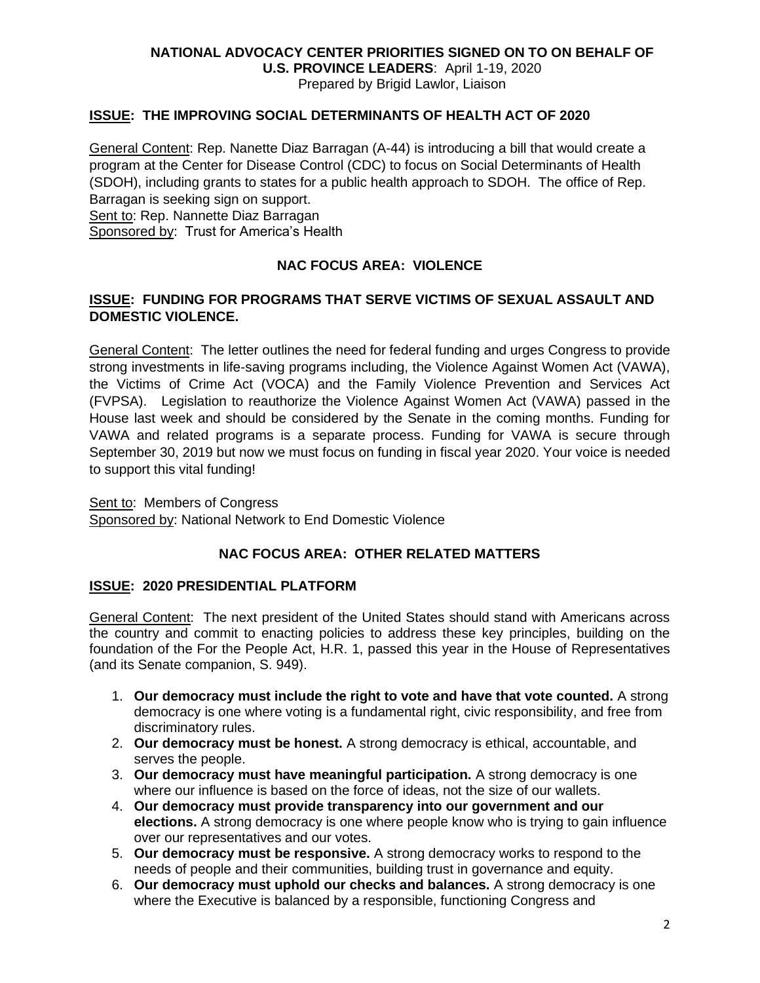**U.S. PROVINCE LEADERS**: April 1-19, 2020 Prepared by Brigid Lawlor, Liaison

## **ISSUE: THE IMPROVING SOCIAL DETERMINANTS OF HEALTH ACT OF 2020**

General Content: Rep. Nanette Diaz Barragan (A-44) is introducing a bill that would create a program at the Center for Disease Control (CDC) to focus on Social Determinants of Health (SDOH), including grants to states for a public health approach to SDOH. The office of Rep. Barragan is seeking sign on support.

Sent to: Rep. Nannette Diaz Barragan

Sponsored by: Trust for America's Health

# **NAC FOCUS AREA: VIOLENCE**

#### **ISSUE: FUNDING FOR PROGRAMS THAT SERVE VICTIMS OF SEXUAL ASSAULT AND DOMESTIC VIOLENCE.**

General Content: The letter outlines the need for federal funding and urges Congress to provide strong investments in life-saving programs including, the Violence Against Women Act (VAWA), the Victims of Crime Act (VOCA) and the Family Violence Prevention and Services Act (FVPSA). Legislation to reauthorize the Violence Against Women Act (VAWA) passed in the House last week and should be considered by the Senate in the coming months. Funding for VAWA and related programs is a separate process. Funding for VAWA is secure through September 30, 2019 but now we must focus on funding in fiscal year 2020. Your voice is needed to support this vital funding!

Sent to: Members of Congress Sponsored by: National Network to End Domestic Violence

### **NAC FOCUS AREA: OTHER RELATED MATTERS**

#### **ISSUE: 2020 PRESIDENTIAL PLATFORM**

General Content: The next president of the United States should stand with Americans across the country and commit to enacting policies to address these key principles, building on the foundation of the For the People Act, H.R. 1, passed this year in the House of Representatives (and its Senate companion, S. 949).

- 1. **Our democracy must include the right to vote and have that vote counted.** A strong democracy is one where voting is a fundamental right, civic responsibility, and free from discriminatory rules.
- 2. **Our democracy must be honest.** A strong democracy is ethical, accountable, and serves the people.
- 3. **Our democracy must have meaningful participation.** A strong democracy is one where our influence is based on the force of ideas, not the size of our wallets.
- 4. **Our democracy must provide transparency into our government and our elections.** A strong democracy is one where people know who is trying to gain influence over our representatives and our votes.
- 5. **Our democracy must be responsive.** A strong democracy works to respond to the needs of people and their communities, building trust in governance and equity.
- 6. **Our democracy must uphold our checks and balances.** A strong democracy is one where the Executive is balanced by a responsible, functioning Congress and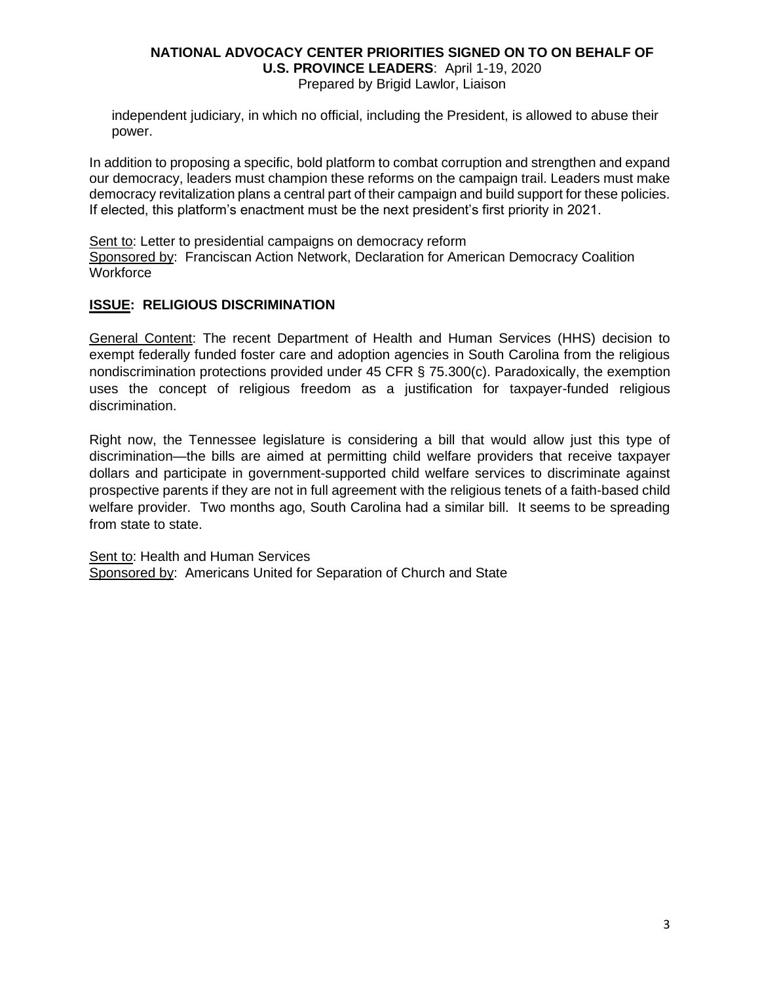#### **NATIONAL ADVOCACY CENTER PRIORITIES SIGNED ON TO ON BEHALF OF U.S. PROVINCE LEADERS**: April 1-19, 2020 Prepared by Brigid Lawlor, Liaison

independent judiciary, in which no official, including the President, is allowed to abuse their power.

In addition to proposing a specific, bold platform to combat corruption and strengthen and expand our democracy, leaders must champion these reforms on the campaign trail. Leaders must make democracy revitalization plans a central part of their campaign and build support for these policies. If elected, this platform's enactment must be the next president's first priority in 2021.

Sent to: Letter to presidential campaigns on democracy reform Sponsored by: Franciscan Action Network, Declaration for American Democracy Coalition **Workforce** 

## **ISSUE: RELIGIOUS DISCRIMINATION**

General Content: The recent Department of Health and Human Services (HHS) decision to exempt federally funded foster care and adoption agencies in South Carolina from the religious nondiscrimination protections provided under 45 CFR § 75.300(c). Paradoxically, the exemption uses the concept of religious freedom as a justification for taxpayer-funded religious discrimination.

Right now, the Tennessee legislature is considering a bill that would allow just this type of discrimination—the bills are aimed at permitting child welfare providers that receive taxpayer dollars and participate in government-supported child welfare services to discriminate against prospective parents if they are not in full agreement with the religious tenets of a faith-based child welfare provider. Two months ago, South Carolina had a similar bill. It seems to be spreading from state to state.

Sent to: Health and Human Services Sponsored by: Americans United for Separation of Church and State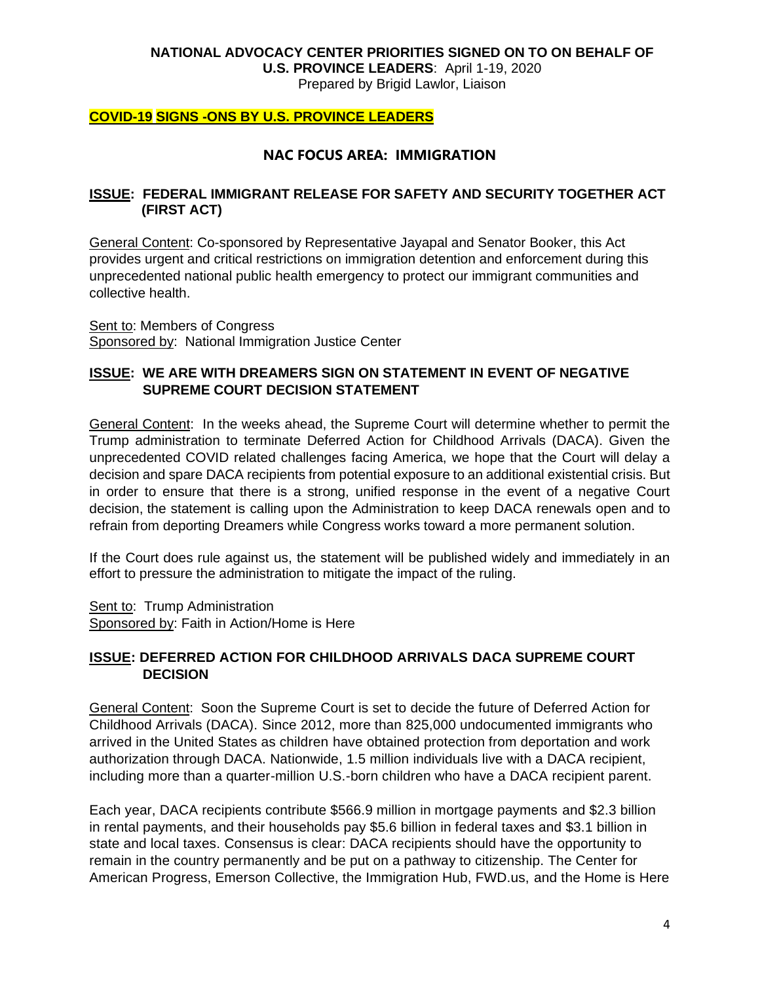**U.S. PROVINCE LEADERS**: April 1-19, 2020

Prepared by Brigid Lawlor, Liaison

#### **COVID-19 SIGNS -ONS BY U.S. PROVINCE LEADERS**

## **NAC FOCUS AREA: IMMIGRATION**

#### **ISSUE: FEDERAL IMMIGRANT RELEASE FOR SAFETY AND SECURITY TOGETHER ACT (FIRST ACT)**

General Content: Co-sponsored by Representative Jayapal and Senator Booker, this Act provides urgent and critical restrictions on immigration detention and enforcement during this unprecedented national public health emergency to protect our immigrant communities and collective health.

Sent to: Members of Congress Sponsored by: National Immigration Justice Center

### **ISSUE: WE ARE WITH DREAMERS SIGN ON STATEMENT IN EVENT OF NEGATIVE SUPREME COURT DECISION STATEMENT**

General Content: In the weeks ahead, the Supreme Court will determine whether to permit the Trump administration to terminate Deferred Action for Childhood Arrivals (DACA). Given the unprecedented COVID related challenges facing America, we hope that the Court will delay a decision and spare DACA recipients from potential exposure to an additional existential crisis. But in order to ensure that there is a strong, unified response in the event of a negative Court decision, the statement is calling upon the Administration to keep DACA renewals open and to refrain from deporting Dreamers while Congress works toward a more permanent solution.

If the Court does rule against us, the statement will be published widely and immediately in an effort to pressure the administration to mitigate the impact of the ruling.

Sent to: Trump Administration Sponsored by: Faith in Action/Home is Here

## **ISSUE: DEFERRED ACTION FOR CHILDHOOD ARRIVALS DACA SUPREME COURT DECISION**

General Content: Soon the Supreme Court is set to decide the future of Deferred Action for Childhood Arrivals (DACA). Since 2012, more than 825,000 undocumented immigrants who arrived in the United States as children have obtained protection from deportation and work authorization through DACA. Nationwide, 1.5 million individuals live with a DACA recipient, including more than a quarter-million U.S.-born children who have a DACA recipient parent.

Each year, DACA recipients contribute \$566.9 million in mortgage payments and \$2.3 billion in rental payments, and their households pay \$5.6 billion in federal taxes and \$3.1 billion in state and local taxes. Consensus is clear: DACA recipients should have the opportunity to remain in the country permanently and be put on a pathway to citizenship. The Center for American Progress, Emerson Collective, the Immigration Hub, FWD.us, and the Home is Here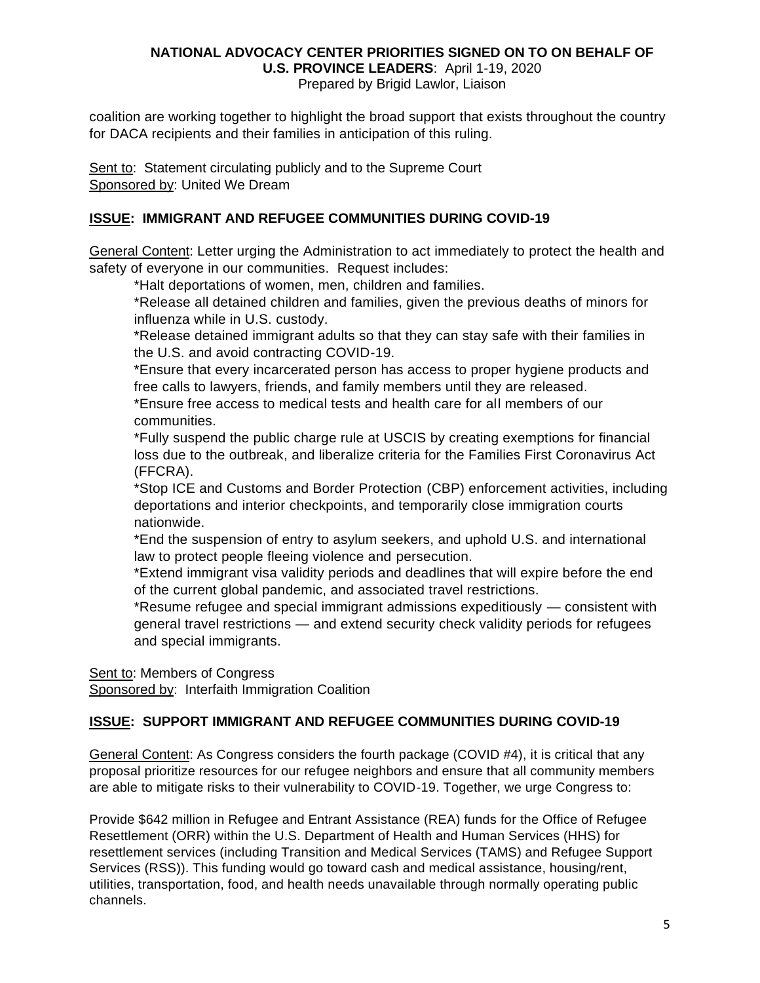Prepared by Brigid Lawlor, Liaison

coalition are working together to highlight the broad support that exists throughout the country for DACA recipients and their families in anticipation of this ruling.

Sent to: Statement circulating publicly and to the Supreme Court Sponsored by: United We Dream

# **ISSUE: IMMIGRANT AND REFUGEE COMMUNITIES DURING COVID-19**

General Content: Letter urging the Administration to act immediately to protect the health and safety of everyone in our communities. Request includes:

\*Halt deportations of women, men, children and families.

\*Release all detained children and families, given the previous deaths of minors for influenza while in U.S. custody.

\*Release detained immigrant adults so that they can stay safe with their families in the U.S. and avoid contracting COVID-19.

\*Ensure that every incarcerated person has access to proper hygiene products and free calls to lawyers, friends, and family members until they are released.

\*Ensure free access to medical tests and health care for all members of our communities.

\*Fully suspend the public charge rule at USCIS by creating exemptions for financial loss due to the outbreak, and liberalize criteria for the Families First Coronavirus Act (FFCRA).

\*Stop ICE and Customs and Border Protection (CBP) enforcement activities, including deportations and interior checkpoints, and temporarily close immigration courts nationwide.

\*End the suspension of entry to asylum seekers, and uphold U.S. and international law to protect people fleeing violence and persecution.

\*Extend immigrant visa validity periods and deadlines that will expire before the end of the current global pandemic, and associated travel restrictions.

\*Resume refugee and special immigrant admissions expeditiously — consistent with general travel restrictions — and extend security check validity periods for refugees and special immigrants.

Sent to: Members of Congress Sponsored by: Interfaith Immigration Coalition

# **ISSUE: SUPPORT IMMIGRANT AND REFUGEE COMMUNITIES DURING COVID-19**

General Content: As Congress considers the fourth package (COVID #4), it is critical that any proposal prioritize resources for our refugee neighbors and ensure that all community members are able to mitigate risks to their vulnerability to COVID-19. Together, we urge Congress to:

Provide \$642 million in Refugee and Entrant Assistance (REA) funds for the Office of Refugee Resettlement (ORR) within the U.S. Department of Health and Human Services (HHS) for resettlement services (including Transition and Medical Services (TAMS) and Refugee Support Services (RSS)). This funding would go toward cash and medical assistance, housing/rent, utilities, transportation, food, and health needs unavailable through normally operating public channels.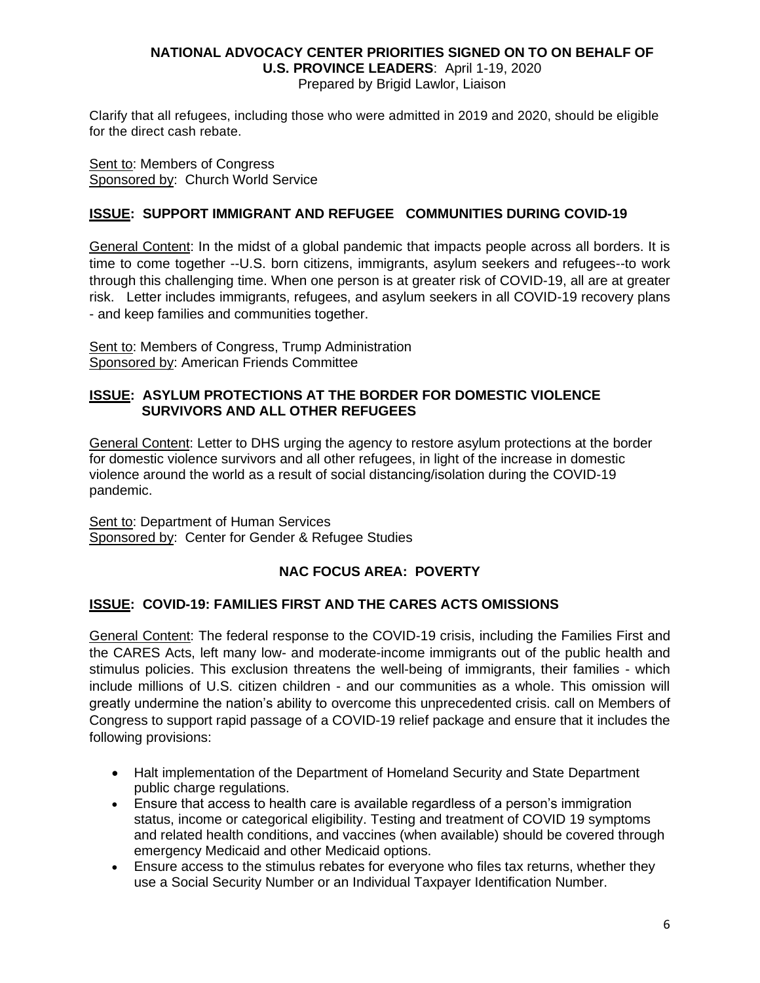Prepared by Brigid Lawlor, Liaison

Clarify that all refugees, including those who were admitted in 2019 and 2020, should be eligible for the direct cash rebate.

Sent to: Members of Congress Sponsored by: Church World Service

# **ISSUE: SUPPORT IMMIGRANT AND REFUGEE COMMUNITIES DURING COVID-19**

General Content: In the midst of a global pandemic that impacts people across all borders. It is time to come together --U.S. born citizens, immigrants, asylum seekers and refugees--to work through this challenging time. When one person is at greater risk of COVID-19, all are at greater risk. Letter includes immigrants, refugees, and asylum seekers in all COVID-19 recovery plans - and keep families and communities together.

Sent to: Members of Congress, Trump Administration Sponsored by: American Friends Committee

#### **ISSUE: ASYLUM PROTECTIONS AT THE BORDER FOR DOMESTIC VIOLENCE SURVIVORS AND ALL OTHER REFUGEES**

General Content: Letter to DHS urging the agency to restore asylum protections at the border for domestic violence survivors and all other refugees, in light of the increase in domestic violence around the world as a result of social distancing/isolation during the COVID-19 pandemic.

Sent to: Department of Human Services Sponsored by: Center for Gender & Refugee Studies

# **NAC FOCUS AREA: POVERTY**

#### **ISSUE: COVID-19: FAMILIES FIRST AND THE CARES ACTS OMISSIONS**

General Content: The federal response to the COVID-19 crisis, including the Families First and the CARES Acts, left many low- and moderate-income immigrants out of the public health and stimulus policies. This exclusion threatens the well-being of immigrants, their families - which include millions of U.S. citizen children - and our communities as a whole. This omission will greatly undermine the nation's ability to overcome this unprecedented crisis. call on Members of Congress to support rapid passage of a COVID-19 relief package and ensure that it includes the following provisions:

- Halt implementation of the Department of Homeland Security and State Department public charge regulations.
- Ensure that access to health care is available regardless of a person's immigration status, income or categorical eligibility. Testing and treatment of COVID 19 symptoms and related health conditions, and vaccines (when available) should be covered through emergency Medicaid and other Medicaid options.
- Ensure access to the stimulus rebates for everyone who files tax returns, whether they use a Social Security Number or an Individual Taxpayer Identification Number.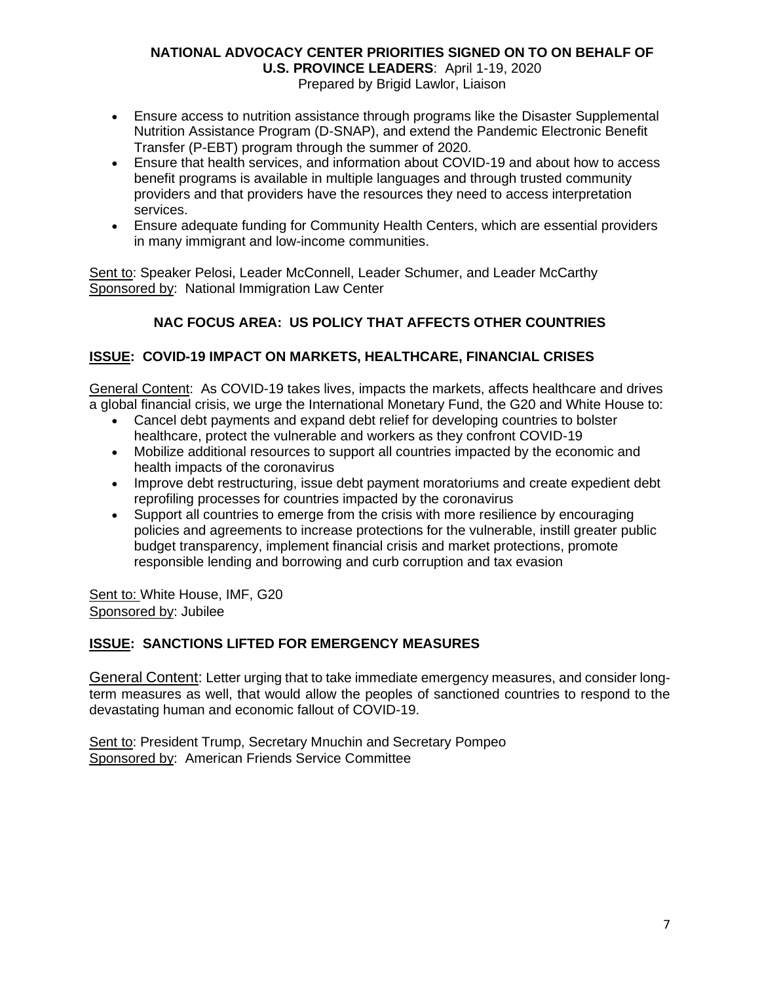Prepared by Brigid Lawlor, Liaison

- Ensure access to nutrition assistance through programs like the Disaster Supplemental Nutrition Assistance Program (D-SNAP), and extend the Pandemic Electronic Benefit Transfer (P-EBT) program through the summer of 2020.
- Ensure that health services, and information about COVID-19 and about how to access benefit programs is available in multiple languages and through trusted community providers and that providers have the resources they need to access interpretation services.
- Ensure adequate funding for Community Health Centers, which are essential providers in many immigrant and low-income communities.

Sent to: Speaker Pelosi, Leader McConnell, Leader Schumer, and Leader McCarthy Sponsored by: National Immigration Law Center

# **NAC FOCUS AREA: US POLICY THAT AFFECTS OTHER COUNTRIES**

# **ISSUE: COVID-19 IMPACT ON MARKETS, HEALTHCARE, FINANCIAL CRISES**

General Content: As COVID-19 takes lives, impacts the markets, affects healthcare and drives a global financial crisis, we urge the International Monetary Fund, the G20 and White House to:

- Cancel debt payments and expand debt relief for developing countries to bolster healthcare, protect the vulnerable and workers as they confront COVID-19
- Mobilize additional resources to support all countries impacted by the economic and health impacts of the coronavirus
- Improve debt restructuring, issue debt payment moratoriums and create expedient debt reprofiling processes for countries impacted by the coronavirus
- Support all countries to emerge from the crisis with more resilience by encouraging policies and agreements to increase protections for the vulnerable, instill greater public budget transparency, implement financial crisis and market protections, promote responsible lending and borrowing and curb corruption and tax evasion

Sent to: White House, IMF, G20 Sponsored by: Jubilee

#### **ISSUE: SANCTIONS LIFTED FOR EMERGENCY MEASURES**

General Content: Letter urging that to take immediate emergency measures, and consider longterm measures as well, that would allow the peoples of sanctioned countries to respond to the devastating human and economic fallout of COVID-19.

Sent to: President Trump, Secretary Mnuchin and Secretary Pompeo Sponsored by: American Friends Service Committee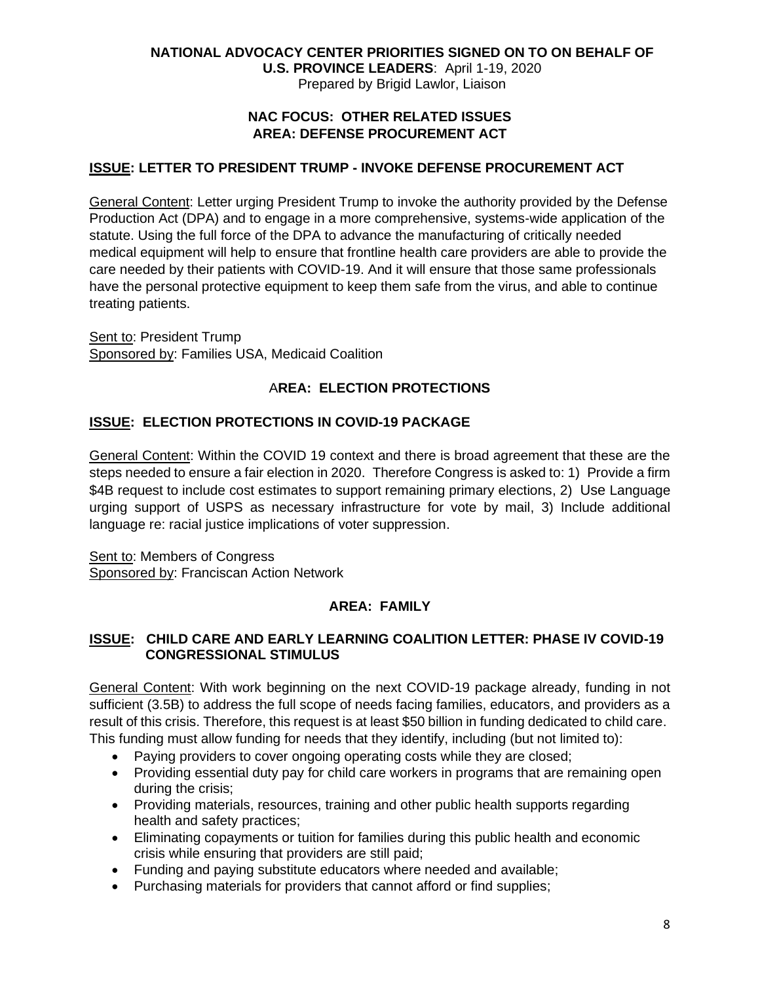**U.S. PROVINCE LEADERS**: April 1-19, 2020 Prepared by Brigid Lawlor, Liaison

## **NAC FOCUS: OTHER RELATED ISSUES AREA: DEFENSE PROCUREMENT ACT**

# **ISSUE: LETTER TO PRESIDENT TRUMP - INVOKE DEFENSE PROCUREMENT ACT**

General Content: Letter urging President Trump to invoke the authority provided by the Defense Production Act (DPA) and to engage in a more comprehensive, systems-wide application of the statute. Using the full force of the DPA to advance the manufacturing of critically needed medical equipment will help to ensure that frontline health care providers are able to provide the care needed by their patients with COVID-19. And it will ensure that those same professionals have the personal protective equipment to keep them safe from the virus, and able to continue treating patients.

Sent to: President Trump Sponsored by: Families USA, Medicaid Coalition

# A**REA: ELECTION PROTECTIONS**

# **ISSUE: ELECTION PROTECTIONS IN COVID-19 PACKAGE**

General Content: Within the COVID 19 context and there is broad agreement that these are the steps needed to ensure a fair election in 2020. Therefore Congress is asked to: 1) Provide a firm \$4B request to include cost estimates to support remaining primary elections, 2) Use Language urging support of USPS as necessary infrastructure for vote by mail, 3) Include additional language re: racial justice implications of voter suppression.

Sent to: Members of Congress Sponsored by: Franciscan Action Network

# **AREA: FAMILY**

# **ISSUE: CHILD CARE AND EARLY LEARNING COALITION LETTER: PHASE IV COVID-19 CONGRESSIONAL STIMULUS**

General Content: With work beginning on the next COVID-19 package already, funding in not sufficient (3.5B) to address the full scope of needs facing families, educators, and providers as a result of this crisis. Therefore, this request is at least \$50 billion in funding dedicated to child care. This funding must allow funding for needs that they identify, including (but not limited to):

- Paying providers to cover ongoing operating costs while they are closed;
- Providing essential duty pay for child care workers in programs that are remaining open during the crisis;
- Providing materials, resources, training and other public health supports regarding health and safety practices;
- Eliminating copayments or tuition for families during this public health and economic crisis while ensuring that providers are still paid;
- Funding and paying substitute educators where needed and available;
- Purchasing materials for providers that cannot afford or find supplies;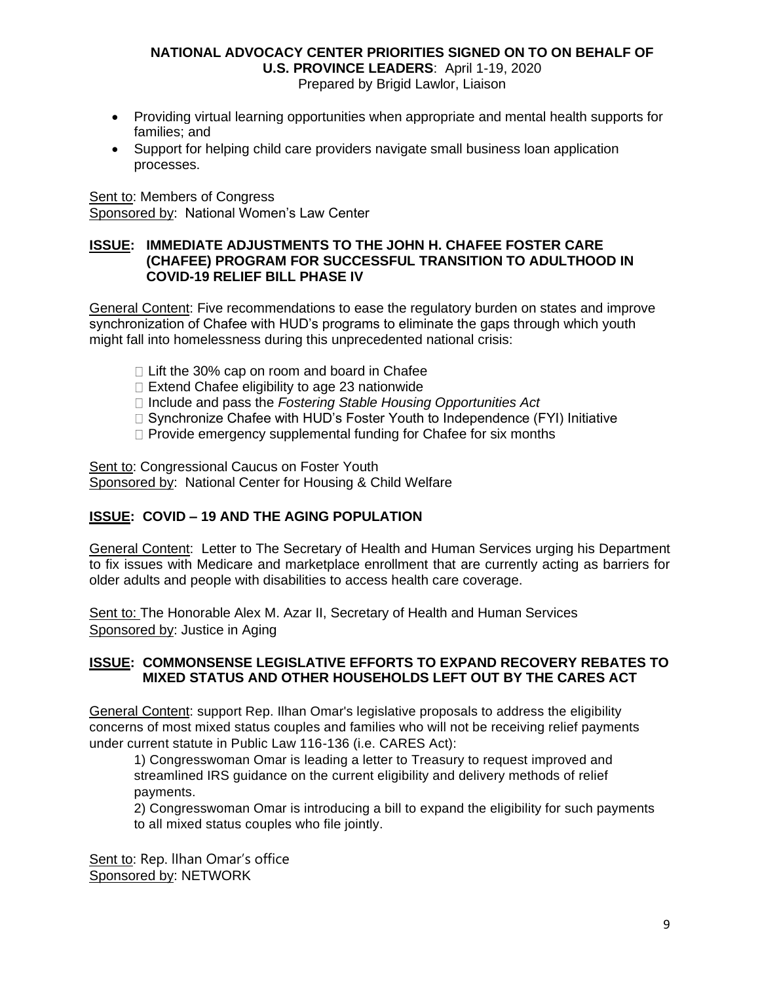Prepared by Brigid Lawlor, Liaison

- Providing virtual learning opportunities when appropriate and mental health supports for families; and
- Support for helping child care providers navigate small business loan application processes.

Sent to: Members of Congress Sponsored by: National Women's Law Center

#### **ISSUE: IMMEDIATE ADJUSTMENTS TO THE JOHN H. CHAFEE FOSTER CARE (CHAFEE) PROGRAM FOR SUCCESSFUL TRANSITION TO ADULTHOOD IN COVID-19 RELIEF BILL PHASE IV**

General Content: Five recommendations to ease the regulatory burden on states and improve synchronization of Chafee with HUD's programs to eliminate the gaps through which youth might fall into homelessness during this unprecedented national crisis:

- $\Box$  Lift the 30% cap on room and board in Chafee
- $\Box$  Extend Chafee eligibility to age 23 nationwide
- □ Include and pass the *Fostering Stable Housing Opportunities Act*
- $\Box$  Synchronize Chafee with HUD's Foster Youth to Independence (FYI) Initiative
- $\Box$  Provide emergency supplemental funding for Chafee for six months

Sent to: Congressional Caucus on Foster Youth Sponsored by: National Center for Housing & Child Welfare

# **ISSUE: COVID – 19 AND THE AGING POPULATION**

General Content: Letter to The Secretary of Health and Human Services urging his Department to fix issues with Medicare and marketplace enrollment that are currently acting as barriers for older adults and people with disabilities to access health care coverage.

Sent to: The Honorable Alex M. Azar II, Secretary of Health and Human Services Sponsored by: Justice in Aging

#### **ISSUE: COMMONSENSE LEGISLATIVE EFFORTS TO EXPAND RECOVERY REBATES TO MIXED STATUS AND OTHER HOUSEHOLDS LEFT OUT BY THE CARES ACT**

General Content: support Rep. Ilhan Omar's legislative proposals to address the eligibility concerns of most mixed status couples and families who will not be receiving relief payments under current statute in Public Law 116-136 (i.e. CARES Act):

1) Congresswoman Omar is leading a letter to Treasury to request improved and streamlined IRS guidance on the current eligibility and delivery methods of relief payments.

2) Congresswoman Omar is introducing a bill to expand the eligibility for such payments to all mixed status couples who file jointly.

Sent to: Rep. Ilhan Omar's office Sponsored by: NETWORK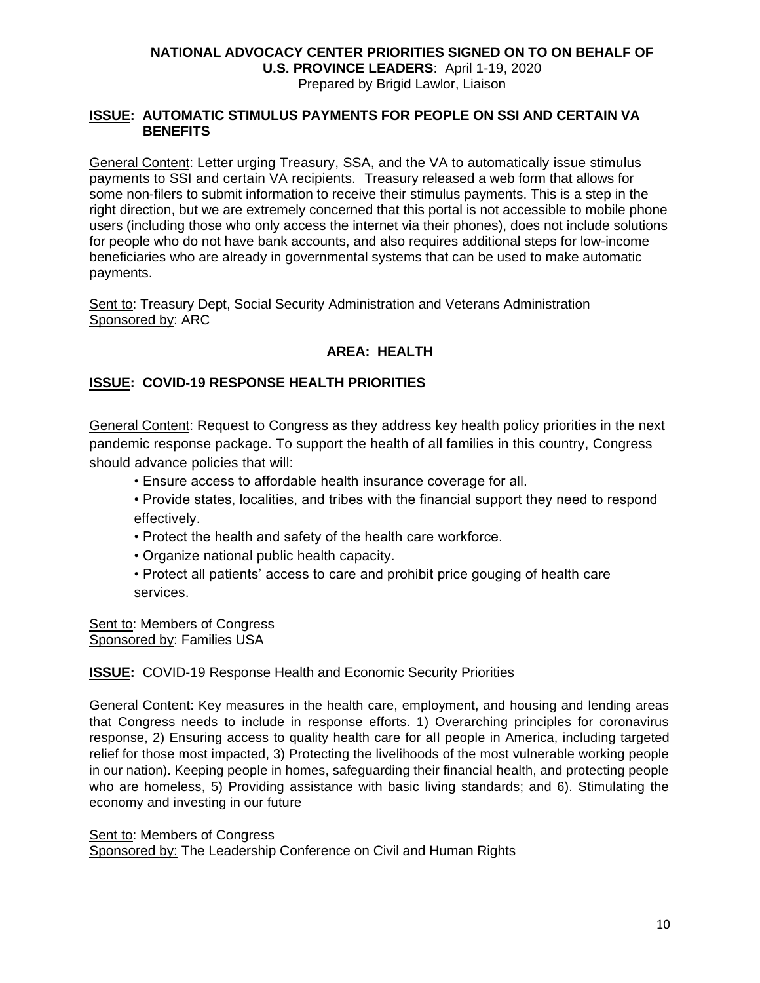#### **NATIONAL ADVOCACY CENTER PRIORITIES SIGNED ON TO ON BEHALF OF U.S. PROVINCE LEADERS**: April 1-19, 2020 Prepared by Brigid Lawlor, Liaison

#### **ISSUE: AUTOMATIC STIMULUS PAYMENTS FOR PEOPLE ON SSI AND CERTAIN VA BENEFITS**

General Content: Letter urging Treasury, SSA, and the VA to automatically issue stimulus payments to SSI and certain VA recipients. Treasury released a web form that allows for some non-filers to submit information to receive their stimulus payments. This is a step in the right direction, but we are extremely concerned that this portal is not accessible to mobile phone users (including those who only access the internet via their phones), does not include solutions for people who do not have bank accounts, and also requires additional steps for low-income beneficiaries who are already in governmental systems that can be used to make automatic payments.

Sent to: Treasury Dept, Social Security Administration and Veterans Administration Sponsored by: ARC

# **AREA: HEALTH**

## **ISSUE: COVID-19 RESPONSE HEALTH PRIORITIES**

General Content: Request to Congress as they address key health policy priorities in the next pandemic response package. To support the health of all families in this country, Congress should advance policies that will:

- Ensure access to affordable health insurance coverage for all.
- Provide states, localities, and tribes with the financial support they need to respond effectively.
- Protect the health and safety of the health care workforce.
- Organize national public health capacity.
- Protect all patients' access to care and prohibit price gouging of health care services.

Sent to: Members of Congress Sponsored by: Families USA

#### **ISSUE:** COVID-19 Response Health and Economic Security Priorities

General Content: Key measures in the health care, employment, and housing and lending areas that Congress needs to include in response efforts. 1) Overarching principles for coronavirus response, 2) Ensuring access to quality health care for all people in America, including targeted relief for those most impacted, 3) Protecting the livelihoods of the most vulnerable working people in our nation). Keeping people in homes, safeguarding their financial health, and protecting people who are homeless, 5) Providing assistance with basic living standards; and 6). Stimulating the economy and investing in our future

#### Sent to: Members of Congress

Sponsored by: The Leadership Conference on Civil and Human Rights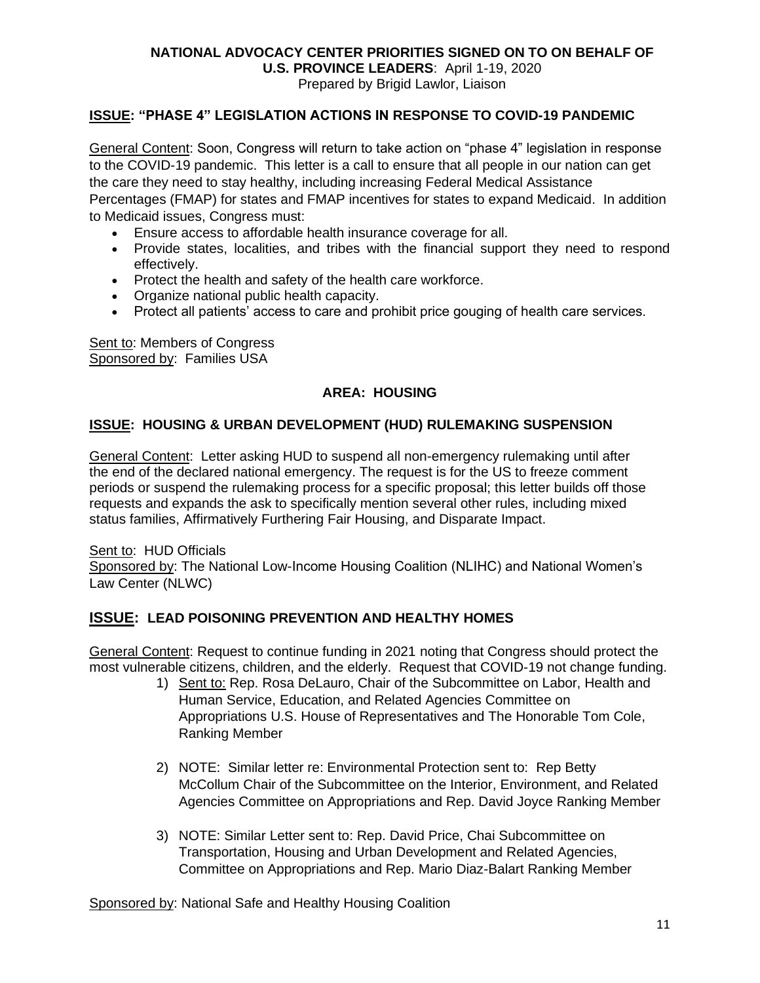**U.S. PROVINCE LEADERS**: April 1-19, 2020

Prepared by Brigid Lawlor, Liaison

# **ISSUE: "PHASE 4" LEGISLATION ACTIONS IN RESPONSE TO COVID-19 PANDEMIC**

General Content: Soon, Congress will return to take action on "phase 4" legislation in response to the COVID-19 pandemic. This letter is a call to ensure that all people in our nation can get the care they need to stay healthy, including increasing Federal Medical Assistance Percentages (FMAP) for states and FMAP incentives for states to expand Medicaid. In addition to Medicaid issues, Congress must:

- Ensure access to affordable health insurance coverage for all.
- Provide states, localities, and tribes with the financial support they need to respond effectively.
- Protect the health and safety of the health care workforce.
- Organize national public health capacity.
- Protect all patients' access to care and prohibit price gouging of health care services.

Sent to: Members of Congress Sponsored by: Families USA

# **AREA: HOUSING**

# **ISSUE: HOUSING & URBAN DEVELOPMENT (HUD) RULEMAKING SUSPENSION**

General Content: Letter asking HUD to suspend all non-emergency rulemaking until after the end of the declared national emergency. The request is for the US to freeze comment periods or suspend the rulemaking process for a specific proposal; this letter builds off those requests and expands the ask to specifically mention several other rules, including mixed status families, Affirmatively Furthering Fair Housing, and Disparate Impact.

Sent to: HUD Officials Sponsored by: The National Low-Income Housing Coalition (NLIHC) and National Women's Law Center (NLWC)

# **ISSUE: LEAD POISONING PREVENTION AND HEALTHY HOMES**

General Content: Request to continue funding in 2021 noting that Congress should protect the most vulnerable citizens, children, and the elderly. Request that COVID-19 not change funding.

- 1) Sent to: Rep. Rosa DeLauro, Chair of the Subcommittee on Labor, Health and Human Service, Education, and Related Agencies Committee on Appropriations U.S. House of Representatives and The Honorable Tom Cole, Ranking Member
- 2) NOTE: Similar letter re: Environmental Protection sent to: Rep Betty McCollum Chair of the Subcommittee on the Interior, Environment, and Related Agencies Committee on Appropriations and Rep. David Joyce Ranking Member
- 3) NOTE: Similar Letter sent to: Rep. David Price, Chai Subcommittee on Transportation, Housing and Urban Development and Related Agencies, Committee on Appropriations and Rep. Mario Diaz-Balart Ranking Member

Sponsored by: National Safe and Healthy Housing Coalition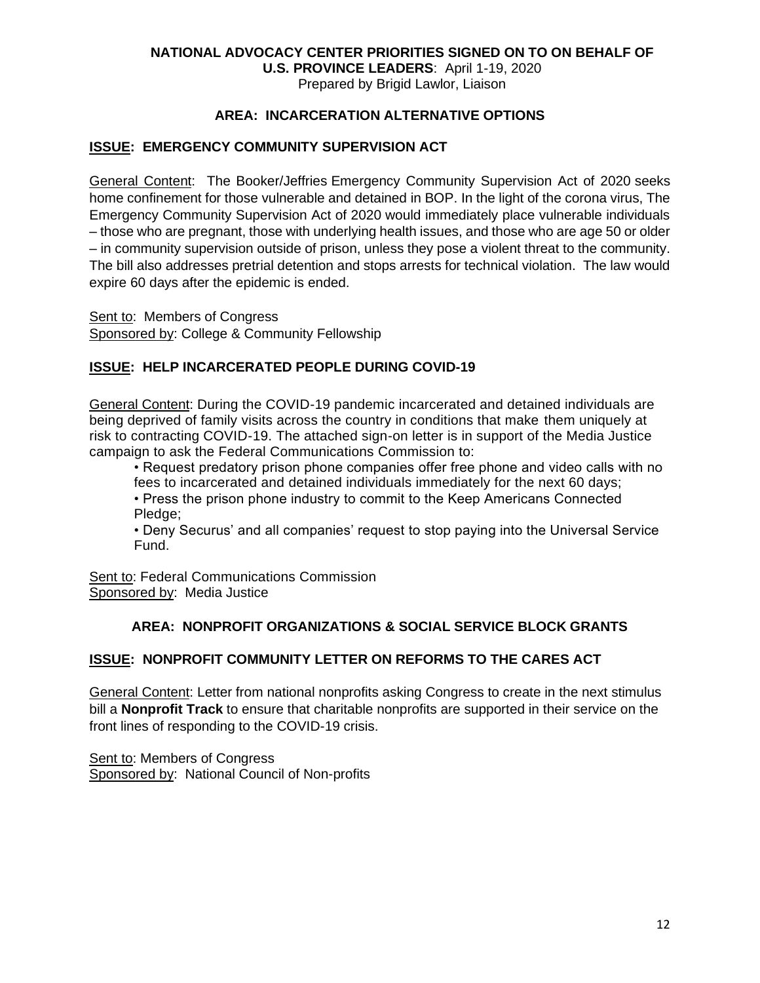**U.S. PROVINCE LEADERS**: April 1-19, 2020 Prepared by Brigid Lawlor, Liaison

# **AREA: INCARCERATION ALTERNATIVE OPTIONS**

## **ISSUE: EMERGENCY COMMUNITY SUPERVISION ACT**

General Content: The Booker/Jeffries [Emergency Community Supervision Act of 2020](https://www.booker.senate.gov/news/press/booker-harris-jeffries-introduce-bill-aimed-at-vulnerable-individuals-behind-bars) seeks home confinement for those vulnerable and detained in BOP. In the light of the corona virus, The Emergency Community Supervision Act of 2020 would immediately place vulnerable individuals – those who are pregnant, those with underlying health issues, and those who are age 50 or older – in community supervision outside of prison, unless they pose a violent threat to the community. The bill also addresses pretrial detention and stops arrests for technical violation. The law would expire 60 days after the epidemic is ended.

Sent to: Members of Congress Sponsored by: College & Community Fellowship

#### **ISSUE: HELP INCARCERATED PEOPLE DURING COVID-19**

General Content: During the COVID-19 pandemic incarcerated and detained individuals are being deprived of family visits across the country in conditions that make them uniquely at risk to contracting COVID-19. The attached sign-on letter is in support of the Media Justice campaign to ask the Federal Communications Commission to:

• Request predatory prison phone companies offer free phone and video calls with no fees to incarcerated and detained individuals immediately for the next 60 days;

• Press the prison phone industry to commit to the Keep Americans Connected Pledge:

• Deny Securus' and all companies' request to stop paying into the Universal Service Fund.

Sent to: Federal Communications Commission Sponsored by: Media Justice

#### **AREA: NONPROFIT ORGANIZATIONS & SOCIAL SERVICE BLOCK GRANTS**

#### **ISSUE: NONPROFIT COMMUNITY LETTER ON REFORMS TO THE CARES ACT**

General Content: Letter from national nonprofits asking Congress to create in the next stimulus bill a **Nonprofit Track** to ensure that charitable nonprofits are supported in their service on the front lines of responding to the COVID-19 crisis.

Sent to: Members of Congress Sponsored by: National Council of Non-profits